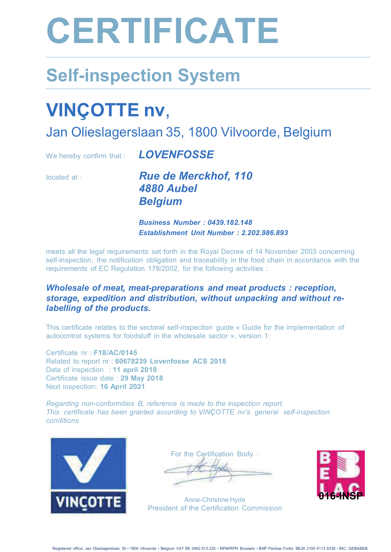# **CERTIFICATE**

## **Self-inspection System**

## **VINÇOTTE nv,**

Jan Olieslagerslaan 35, 1800 Vilvoorde, Belgium

We hereby confirm that : **LOVENFOSSE** 

located at : **Rue de Merckhof. 110** 4880 Aubel **Belaium** 

> **Business Number: 0439.182.148 Establishment Unit Number: 2.202.986.893**

meets all the legal requirements set forth in the Royal Decree of 14 November 2003 concerning self-inspection, the notification obligation and traceability in the food chain in accordance with the requirements of EC Regulation 178/2002, for the following activities :

#### *Wholesale of meat, meat-preparations and meat products : reception,* storage, expedition and distribution, without unpacking and without relabelling of the products.

This certificate relates to the sectoral self-inspection quide « Guide for the implementation of autocontrol systems for foodstuff in the wholesale sector », version 1.

Certificate nr : F18/AC/0145 Related to report nr : 60678239 Lovenfosse ACS 2018 Date of inspection : 11 april 2018 Certificate issue date : 29 May 2018 Next inspection: 16 April 2021

**Regarding non-conformities B, reference is made to the inspection report.** This certificate has been granted according to VINCOTTE nv's general self-inspection conditions



For the Certification Body :

Anne-Christine Hyde President of the Certification Commission

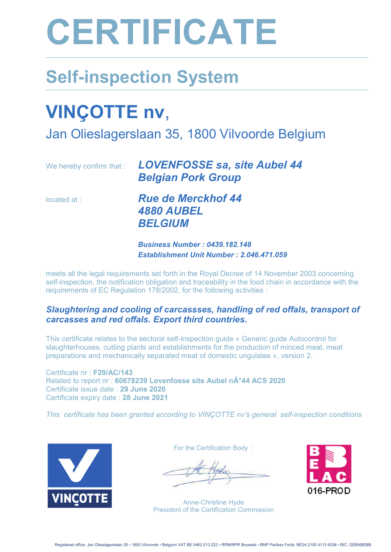# **CERTIFICATE**

### **Self-inspection System**

## **VINÇOTTE nv**,

Jan Olieslagerslaan 35, 1800 Vilvoorde Belgium

|             | We hereby confirm that : <b>LOVENFOSSE sa, site Aubel 44</b><br><b>Belgian Pork Group</b> |
|-------------|-------------------------------------------------------------------------------------------|
| located at: | <b>Rue de Merckhof 44</b>                                                                 |
|             | <b>4880 AUBEL</b>                                                                         |
|             | <b>BELGIUM</b>                                                                            |

*Business Number : 0439.182.148 Establishment Unit Number : 2.046.471.059* 

meets all the legal requirements set forth in the Royal Decree of 14 November 2003 concerning self-inspection, the notification obligation and traceability in the food chain in accordance with the requirements of EC Regulation 178/2002, for the following activities :

#### *Slaughtering and cooling of carcassses, handling of red offals, transport of carcasses and red offals. Export third countries.*

This certificate relates to the sectoral self-inspection guide « Generic guide Autocontrol for slaughterhouses, cutting plants and establishments for the production of minced meat, meat preparations and mechanically separated meat of domestic ungulates », version 2.

Certificate nr : **F20/AC/143** Related to report nr : 60678239 Lovenfosse site Aubel n°44 ACS 2020 Certificate issue date : **29 June 2020** Certificate expiry date : **28 June 2021**

*This certificate has been granted according to VINÇOTTE nv's general self-inspection conditions* 



For the Certification Body :

Anne-Christine Hyde President of the Certification Commission